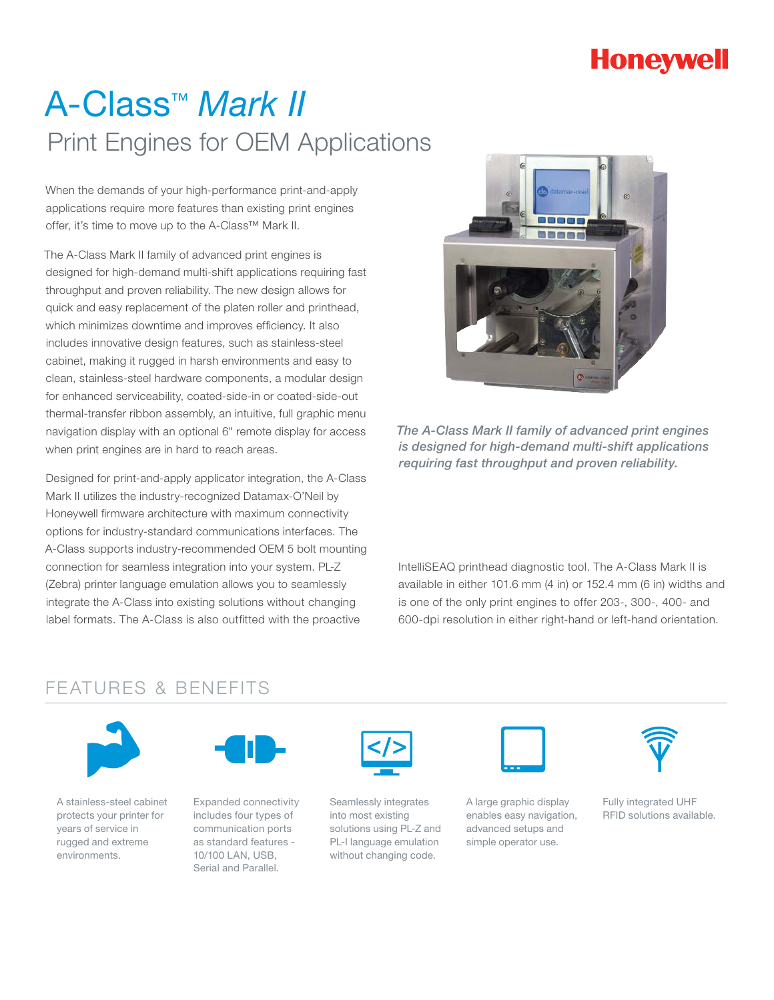# **Honeywell**

# A-Class™ Mark II Print Engines for OEM Applications

When the demands of your high-performance print-and-apply applications require more features than existing print engines offer, it's time to move up to the A-Class™ Mark II.

The A-Class Mark II family of advanced print engines is designed for high-demand multi-shift applications requiring fast throughput and proven reliability. The new design allows for quick and easy replacement of the platen roller and printhead, which minimizes downtime and improves efficiency. It also includes innovative design features, such as stainless-steel cabinet, making it rugged in harsh environments and easy to clean, stainless-steel hardware components, a modular design for enhanced serviceability, coated-side-in or coated-side-out thermal-transfer ribbon assembly, an intuitive, full graphic menu navigation display with an optional 6" remote display for access when print engines are in hard to reach areas.

Designed for print-and-apply applicator integration, the A-Class Mark II utilizes the industry-recognized Datamax-O'Neil by Honeywell firmware architecture with maximum connectivity options for industry-standard communications interfaces. The A-Class supports industry-recommended OEM 5 bolt mounting connection for seamless integration into your system. PL-Z (Zebra) printer language emulation allows you to seamlessly integrate the A-Class into existing solutions without changing label formats. The A-Class is also outfitted with the proactive



*The A-Class Mark II family of advanced print engines is designed for high-demand multi-shift applications requiring fast throughput and proven reliability.*

IntelliSEAQ printhead diagnostic tool. The A-Class Mark II is available in either 101.6 mm (4 in) or 152.4 mm (6 in) widths and is one of the only print engines to offer 203-, 300-, 400- and 600-dpi resolution in either right-hand or left-hand orientation.

### FEATURES & BENEFITS



A stainless-steel cabinet protects your printer for years of service in rugged and extreme environments.



Expanded connectivity includes four types of communication ports as standard features - 10/100 LAN, USB, Serial and Parallel.



Seamlessly integrates into most existing solutions using PL-Z and PL-I language emulation without changing code.



A large graphic display enables easy navigation, advanced setups and simple operator use.



Fully integrated UHF RFID solutions available.